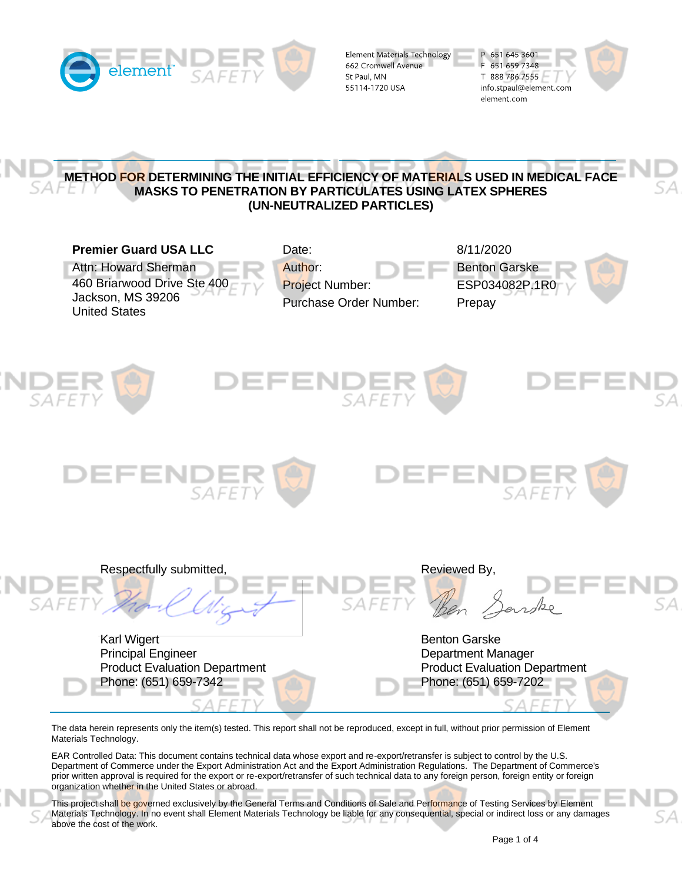

Element Materials Technology 662 Cromwell Avenue St Paul, MN 55114 1720 USA





The data herein represents only the item(s) tested. This report shall not be reproduced, except in full, without prior permission of Element Materials Technology.

EAR Controlled Data: This document contains technical data whose export and re-export/retransfer is subject to control by the U.S. Department of Commerce under the Export Administration Act and the Export Administration Regulations. The Department of Commerce's prior written approval is required for the export or re-export/retransfer of such technical data to any foreign person, foreign entity or foreign organization whether in the United States or abroad.

This project shall be governed exclusively by the General Terms and Conditions of Sale and Performance of Testing Services by Element Materials Technology. In no event shall Element Materials Technology be liable for any consequential, special or indirect loss or any damages above the cost of the work.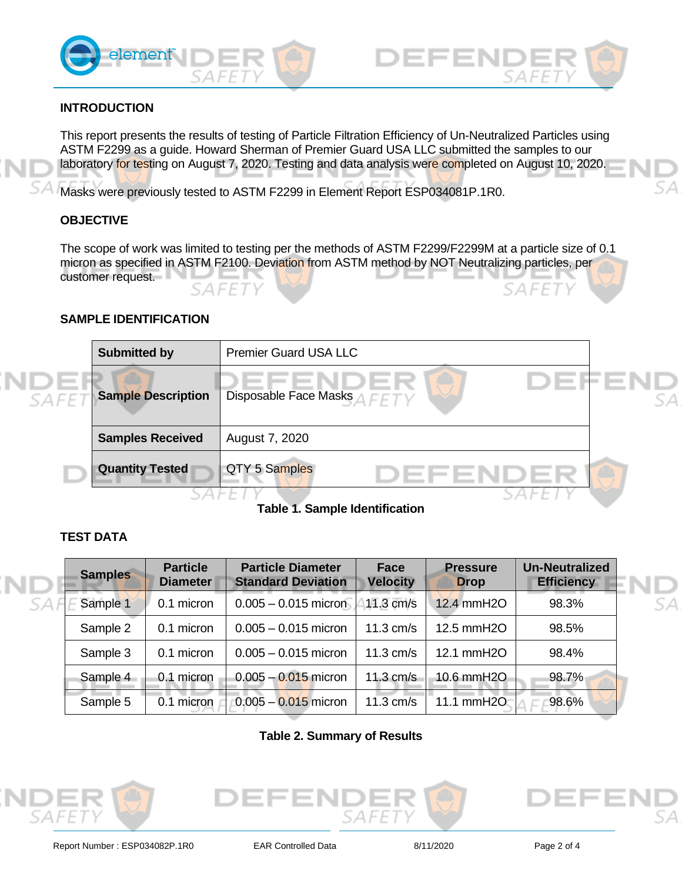



# **INTRODUCTION**

This report presents the results of testing of Particle Filtration Efficiency of Un-Neutralized Particles using ASTM F2299 as a guide. Howard Sherman of Premier Guard USA LLC submitted the samples to our laboratory for testing on August 7, 2020. Testing and data analysis were completed on August 10, 2020.

Masks were previously tested to ASTM F2299 in Element Report ESP034081P.1R0.

### **OBJECTIVE**

The scope of work was limited to testing per the methods of ASTM F2299/F2299M at a particle size of 0.1 micron as specified in ASTM F2100. Deviation from ASTM method by NOT Neutralizing particles, per customer request.

### **SAMPLE IDENTIFICATION**

|                   | <b>Submitted by</b>       | <b>Premier Guard USA LLC</b> |    |
|-------------------|---------------------------|------------------------------|----|
| SAFE <sub>1</sub> | <b>Sample Description</b> | Disposable Face Masks AFFTY  | SА |
|                   | <b>Samples Received</b>   | August 7, 2020               |    |
|                   | <b>Quantity Tested</b>    | QTY 5 Samples                |    |
|                   |                           | -                            |    |

**Table 1. Sample Identification**

# **TEST DATA**

| <b>Samples</b> | <b>Particle</b><br><b>Diameter</b> | <b>Particle Diameter</b><br><b>Standard Deviation</b> | Face<br><b>Velocity</b> | <b>Pressure</b><br><b>Drop</b> | <b>Un-Neutralized</b><br><b>Efficiency</b> |
|----------------|------------------------------------|-------------------------------------------------------|-------------------------|--------------------------------|--------------------------------------------|
| Sample 1       | 0.1 micron                         | $0.005 - 0.015$ micron                                | 11.3 cm/s               | 12.4 mmH2O                     | 98.3%                                      |
| Sample 2       | 0.1 micron                         | $0.005 - 0.015$ micron                                | $11.3$ cm/s             | 12.5 mmH2O                     | 98.5%                                      |
| Sample 3       | 0.1 micron                         | $0.005 - 0.015$ micron                                | $11.3$ cm/s             | 12.1 mmH2O                     | 98.4%                                      |
| Sample 4       | 0.1 micron                         | $0.005 - 0.015$ micron                                | $11.3$ cm/s             | 10.6 mmH2O                     | 98.7%                                      |
| Sample 5       | micron<br>0.1                      | $0.005 - 0.015$ micron                                | $11.3$ cm/s             | 11.1 mmH2O                     | 98.6%                                      |

#### **Table 2. Summary of Results**





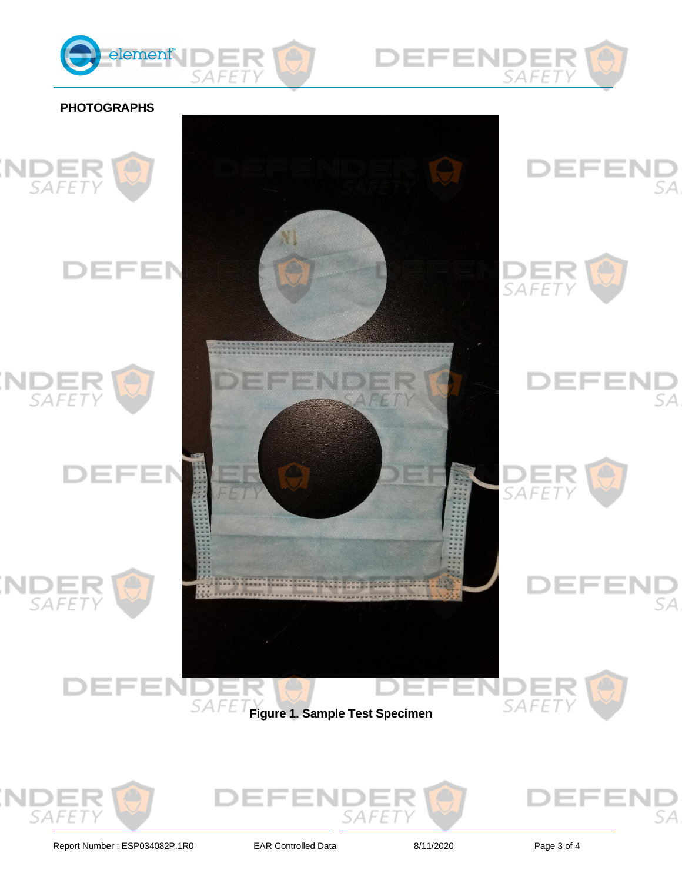













Report Number : ESP034082P.1R0 EAR Controlled Data 8/11/2020 8/11/2020 Page 3 of 4